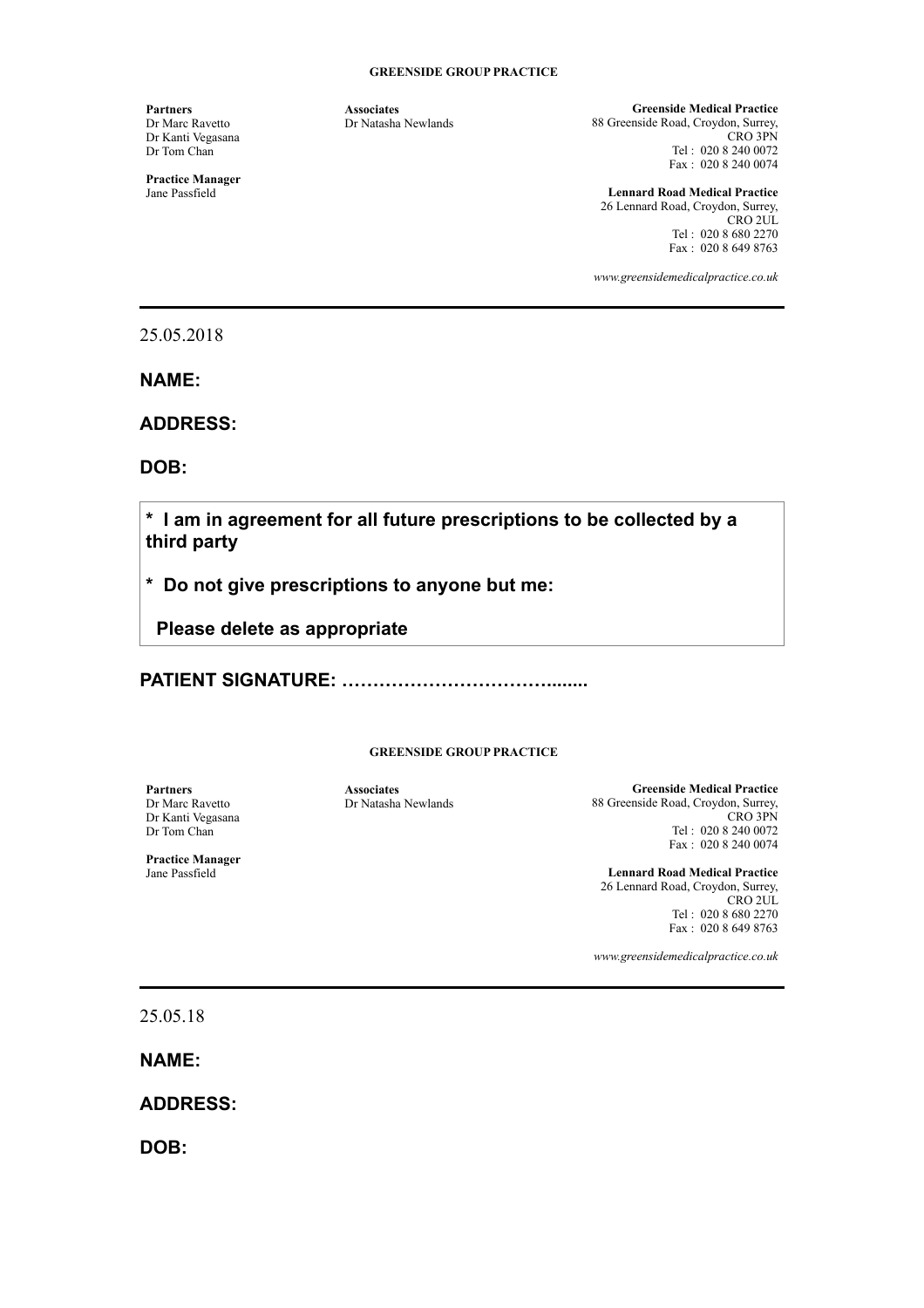**Partners**  Dr Marc Ravetto Dr Kanti Vegasana Dr Tom Chan

**Practice Manager**  Jane Passfield

**Associates**  Dr Natasha Newlands

**Greenside Medical Practice**  88 Greenside Road, Croydon, Surrey, CRO 3PN Tel : 020 8 240 0072 Fax : 020 8 240 0074

**Lennard Road Medical Practice**  26 Lennard Road, Croydon, Surrey, CRO 2UL Tel : 020 8 680 2270 Fax : 020 8 649 8763

*www.greensidemedicalpractice.co.uk*

25.05.2018

**NAME:** 

**ADDRESS:** 

**DOB:** 

**\* I am in agreement for all future prescriptions to be collected by a third party** 

**\* Do not give prescriptions to anyone but me:** 

 **Please delete as appropriate**

**PATIENT SIGNATURE: ……………………………........** 

**GREENSIDE GROUP PRACTICE** 

**Partners**  Dr Marc Ravetto Dr Kanti Vegasana Dr Tom Chan

**Practice Manager**  Jane Passfield

**Associates**  Dr Natasha Newlands

**Greenside Medical Practice**  88 Greenside Road, Croydon, Surrey, CRO 3PN Tel : 020 8 240 0072 Fax : 020 8 240 0074

**Lennard Road Medical Practice**  26 Lennard Road, Croydon, Surrey, CRO 2UL Tel : 020 8 680 2270 Fax : 020 8 649 8763

*www.greensidemedicalpractice.co.uk*

25.05.18

**NAME:** 

**ADDRESS:** 

**DOB:**